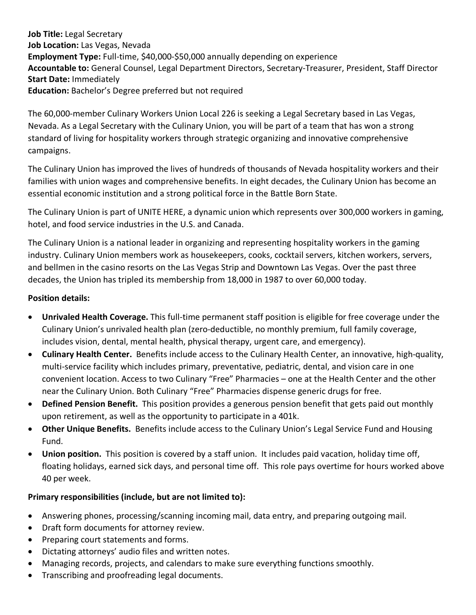**Job Title:** Legal Secretary **Job Location:** Las Vegas, Nevada **Employment Type:** Full-time, \$40,000-\$50,000 annually depending on experience **Accountable to:** General Counsel, Legal Department Directors, Secretary-Treasurer, President, Staff Director **Start Date:** Immediately **Education:** Bachelor's Degree preferred but not required

The 60,000-member Culinary Workers Union Local 226 is seeking a Legal Secretary based in Las Vegas, Nevada. As a Legal Secretary with the Culinary Union, you will be part of a team that has won a strong standard of living for hospitality workers through strategic organizing and innovative comprehensive campaigns.

The Culinary Union has improved the lives of hundreds of thousands of Nevada hospitality workers and their families with union wages and comprehensive benefits. In eight decades, the Culinary Union has become an essential economic institution and a strong political force in the Battle Born State.

The Culinary Union is part of UNITE HERE, a dynamic union which represents over 300,000 workers in gaming, hotel, and food service industries in the U.S. and Canada.

The Culinary Union is a national leader in organizing and representing hospitality workers in the gaming industry. Culinary Union members work as housekeepers, cooks, cocktail servers, kitchen workers, servers, and bellmen in the casino resorts on the Las Vegas Strip and Downtown Las Vegas. Over the past three decades, the Union has tripled its membership from 18,000 in 1987 to over 60,000 today.

## **Position details:**

- **Unrivaled Health Coverage.** This full-time permanent staff position is eligible for free coverage under the Culinary Union's unrivaled health plan (zero-deductible, no monthly premium, full family coverage, includes vision, dental, mental health, physical therapy, urgent care, and emergency).
- **Culinary Health Center.** Benefits include access to the Culinary Health Center, an innovative, high-quality, multi-service facility which includes primary, preventative, pediatric, dental, and vision care in one convenient location. Access to two Culinary "Free" Pharmacies – one at the Health Center and the other near the Culinary Union. Both Culinary "Free" Pharmacies dispense generic drugs for free.
- **Defined Pension Benefit.** This position provides a generous pension benefit that gets paid out monthly upon retirement, as well as the opportunity to participate in a 401k.
- **Other Unique Benefits.** Benefits include access to the Culinary Union's Legal Service Fund and Housing Fund.
- **Union position.** This position is covered by a staff union. It includes paid vacation, holiday time off, floating holidays, earned sick days, and personal time off. This role pays overtime for hours worked above 40 per week.

# **Primary responsibilities (include, but are not limited to):**

- Answering phones, processing/scanning incoming mail, data entry, and preparing outgoing mail.
- Draft form documents for attorney review.
- Preparing court statements and forms.
- Dictating attorneys' audio files and written notes.
- Managing records, projects, and calendars to make sure everything functions smoothly.
- Transcribing and proofreading legal documents.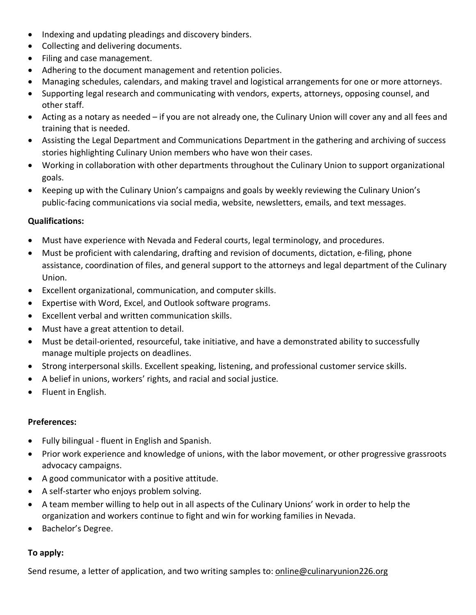- Indexing and updating pleadings and discovery binders.
- Collecting and delivering documents.
- Filing and case management.
- Adhering to the document management and retention policies.
- Managing schedules, calendars, and making travel and logistical arrangements for one or more attorneys.
- Supporting legal research and communicating with vendors, experts, attorneys, opposing counsel, and other staff.
- Acting as a notary as needed if you are not already one, the Culinary Union will cover any and all fees and training that is needed.
- Assisting the Legal Department and Communications Department in the gathering and archiving of success stories highlighting Culinary Union members who have won their cases.
- Working in collaboration with other departments throughout the Culinary Union to support organizational goals.
- Keeping up with the Culinary Union's campaigns and goals by weekly reviewing the Culinary Union's public-facing communications via social media, website, newsletters, emails, and text messages.

## **Qualifications:**

- Must have experience with Nevada and Federal courts, legal terminology, and procedures.
- Must be proficient with calendaring, drafting and revision of documents, dictation, e-filing, phone assistance, coordination of files, and general support to the attorneys and legal department of the Culinary Union.
- Excellent organizational, communication, and computer skills.
- Expertise with Word, Excel, and Outlook software programs.
- Excellent verbal and written communication skills.
- Must have a great attention to detail.
- Must be detail-oriented, resourceful, take initiative, and have a demonstrated ability to successfully manage multiple projects on deadlines.
- Strong interpersonal skills. Excellent speaking, listening, and professional customer service skills.
- A belief in unions, workers' rights, and racial and social justice.
- Fluent in English.

## **Preferences:**

- Fully bilingual fluent in English and Spanish.
- Prior work experience and knowledge of unions, with the labor movement, or other progressive grassroots advocacy campaigns.
- A good communicator with a positive attitude.
- A self-starter who enjoys problem solving.
- A team member willing to help out in all aspects of the Culinary Unions' work in order to help the organization and workers continue to fight and win for working families in Nevada.
- Bachelor's Degree.

## **To apply:**

Send resume, a letter of application, and two writing samples to: online@culinaryunion226.org